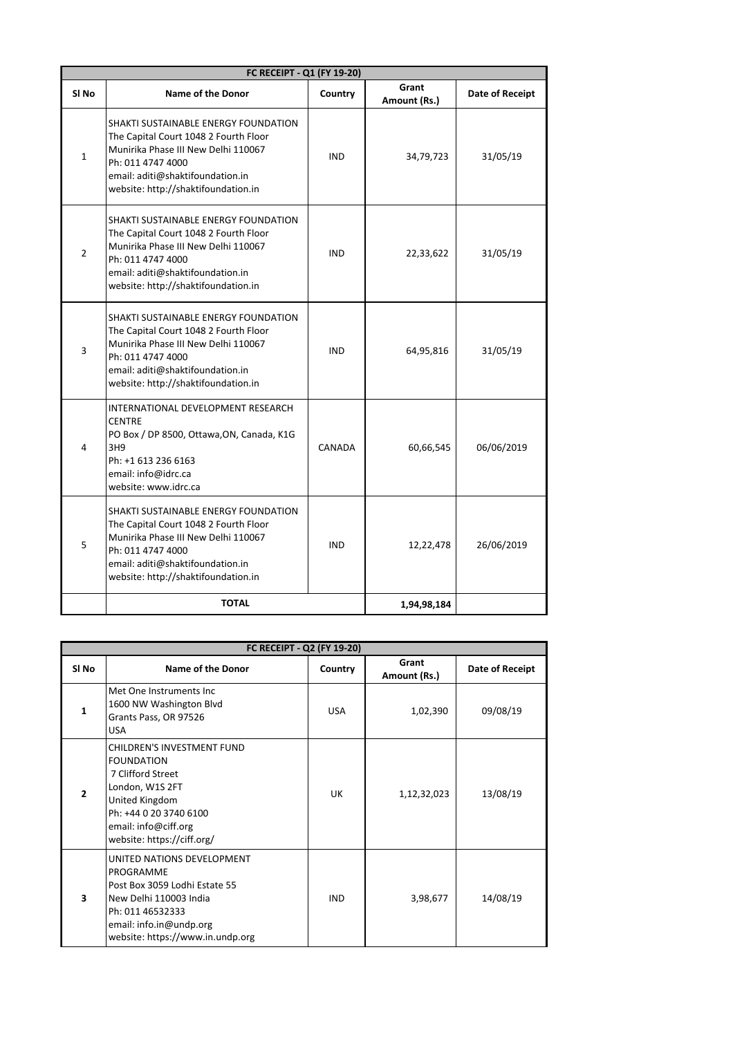| FC RECEIPT - Q1 (FY 19-20) |                                                                                                                                                                                                                      |            |                       |                 |
|----------------------------|----------------------------------------------------------------------------------------------------------------------------------------------------------------------------------------------------------------------|------------|-----------------------|-----------------|
| SI No                      | <b>Name of the Donor</b>                                                                                                                                                                                             | Country    | Grant<br>Amount (Rs.) | Date of Receipt |
| $\mathbf{1}$               | SHAKTI SUSTAINABLE ENERGY FOUNDATION<br>The Capital Court 1048 2 Fourth Floor<br>Munirika Phase III New Delhi 110067<br>Ph: 011 4747 4000<br>email: aditi@shaktifoundation.in<br>website: http://shaktifoundation.in | <b>IND</b> | 34,79,723             | 31/05/19        |
| $\overline{2}$             | SHAKTI SUSTAINABLE ENERGY FOUNDATION<br>The Capital Court 1048 2 Fourth Floor<br>Munirika Phase III New Delhi 110067<br>Ph: 011 4747 4000<br>email: aditi@shaktifoundation.in<br>website: http://shaktifoundation.in | <b>IND</b> | 22,33,622             | 31/05/19        |
| 3                          | SHAKTI SUSTAINABLE ENERGY FOUNDATION<br>The Capital Court 1048 2 Fourth Floor<br>Munirika Phase III New Delhi 110067<br>Ph: 011 4747 4000<br>email: aditi@shaktifoundation.in<br>website: http://shaktifoundation.in | <b>IND</b> | 64,95,816             | 31/05/19        |
| 4                          | INTERNATIONAL DEVELOPMENT RESEARCH<br><b>CENTRE</b><br>PO Box / DP 8500, Ottawa, ON, Canada, K1G<br>3H9<br>Ph: +1 613 236 6163<br>email: info@idrc.ca<br>website: www.idrc.ca                                        | CANADA     | 60,66,545             | 06/06/2019      |
| 5                          | SHAKTI SUSTAINABLE ENERGY FOUNDATION<br>The Capital Court 1048 2 Fourth Floor<br>Munirika Phase III New Delhi 110067<br>Ph: 011 4747 4000<br>email: aditi@shaktifoundation.in<br>website: http://shaktifoundation.in | <b>IND</b> | 12,22,478             | 26/06/2019      |
|                            | <b>TOTAL</b>                                                                                                                                                                                                         |            | 1,94,98,184           |                 |

| FC RECEIPT - Q2 (FY 19-20) |                                                                                                                                                                                                  |            |                       |                 |
|----------------------------|--------------------------------------------------------------------------------------------------------------------------------------------------------------------------------------------------|------------|-----------------------|-----------------|
| SI No                      | <b>Name of the Donor</b>                                                                                                                                                                         | Country    | Grant<br>Amount (Rs.) | Date of Receipt |
| 1                          | Met One Instruments Inc.<br>1600 NW Washington Blvd<br>Grants Pass, OR 97526<br><b>USA</b>                                                                                                       | <b>USA</b> | 1,02,390              | 09/08/19        |
| $\overline{2}$             | <b>CHILDREN'S INVESTMENT FUND</b><br><b>FOUNDATION</b><br>7 Clifford Street<br>London, W1S 2FT<br>United Kingdom<br>Ph: +44 0 20 3740 6100<br>email: info@ciff.org<br>website: https://ciff.org/ | UK         | 1,12,32,023           | 13/08/19        |
| 3                          | UNITED NATIONS DEVELOPMENT<br>PROGRAMME<br>Post Box 3059 Lodhi Estate 55<br>New Delhi 110003 India<br>Ph: 011 46532333<br>email: info.in@undp.org<br>website: https://www.in.undp.org            | <b>IND</b> | 3,98,677              | 14/08/19        |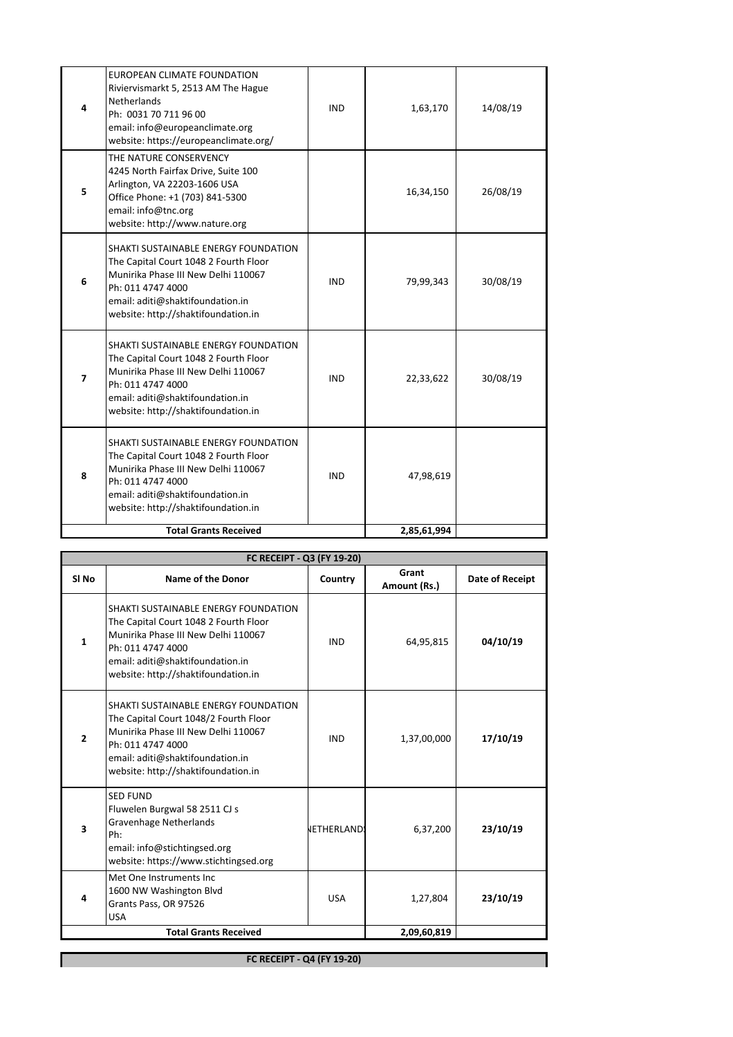|   | <b>Total Grants Received</b>                                                                                                                                                                                         |            | 2,85,61,994 |          |
|---|----------------------------------------------------------------------------------------------------------------------------------------------------------------------------------------------------------------------|------------|-------------|----------|
| 8 | SHAKTI SUSTAINABLE ENERGY FOUNDATION<br>The Capital Court 1048 2 Fourth Floor<br>Munirika Phase III New Delhi 110067<br>Ph: 011 4747 4000<br>email: aditi@shaktifoundation.in<br>website: http://shaktifoundation.in | <b>IND</b> | 47,98,619   |          |
| 7 | SHAKTI SUSTAINABLE ENERGY FOUNDATION<br>The Capital Court 1048 2 Fourth Floor<br>Munirika Phase III New Delhi 110067<br>Ph: 011 4747 4000<br>email: aditi@shaktifoundation.in<br>website: http://shaktifoundation.in | <b>IND</b> | 22,33,622   | 30/08/19 |
| 6 | SHAKTI SUSTAINABLE ENERGY FOUNDATION<br>The Capital Court 1048 2 Fourth Floor<br>Munirika Phase III New Delhi 110067<br>Ph: 011 4747 4000<br>email: aditi@shaktifoundation.in<br>website: http://shaktifoundation.in | <b>IND</b> | 79,99,343   | 30/08/19 |
| 5 | THE NATURE CONSERVENCY<br>4245 North Fairfax Drive, Suite 100<br>Arlington, VA 22203-1606 USA<br>Office Phone: +1 (703) 841-5300<br>email: info@tnc.org<br>website: http://www.nature.org                            |            | 16,34,150   | 26/08/19 |
| 4 | <b>EUROPEAN CLIMATE FOUNDATION</b><br>Riviervismarkt 5, 2513 AM The Hague<br>Netherlands<br>Ph: 0031 70 711 96 00<br>email: info@europeanclimate.org<br>website: https://europeanclimate.org/                        | <b>IND</b> | 1,63,170    | 14/08/19 |
|   |                                                                                                                                                                                                                      |            |             |          |

| FC RECEIPT - Q3 (FY 19-20) |                                                                                                                                                                                                                      |                    |                       |                 |
|----------------------------|----------------------------------------------------------------------------------------------------------------------------------------------------------------------------------------------------------------------|--------------------|-----------------------|-----------------|
| SI <sub>No</sub>           | Name of the Donor                                                                                                                                                                                                    | Country            | Grant<br>Amount (Rs.) | Date of Receipt |
| $\mathbf{1}$               | SHAKTI SUSTAINABLE ENERGY FOUNDATION<br>The Capital Court 1048 2 Fourth Floor<br>Munirika Phase III New Delhi 110067<br>Ph: 011 4747 4000<br>email: aditi@shaktifoundation.in<br>website: http://shaktifoundation.in | <b>IND</b>         | 64,95,815             | 04/10/19        |
| $\overline{2}$             | SHAKTI SUSTAINABLE ENERGY FOUNDATION<br>The Capital Court 1048/2 Fourth Floor<br>Munirika Phase III New Delhi 110067<br>Ph: 011 4747 4000<br>email: aditi@shaktifoundation.in<br>website: http://shaktifoundation.in | <b>IND</b>         | 1,37,00,000           | 17/10/19        |
| 3                          | <b>SED FUND</b><br>Fluwelen Burgwal 58 2511 CJ s<br><b>Gravenhage Netherlands</b><br>Ph:<br>email: info@stichtingsed.org<br>website: https://www.stichtingsed.org                                                    | <b>JETHERLANDS</b> | 6,37,200              | 23/10/19        |
| 4                          | Met One Instruments Inc<br>1600 NW Washington Blvd<br>Grants Pass, OR 97526<br><b>USA</b>                                                                                                                            | <b>USA</b>         | 1,27,804              | 23/10/19        |
|                            | <b>Total Grants Received</b>                                                                                                                                                                                         |                    |                       |                 |

**FC RECEIPT - Q4 (FY 19-20)**

I